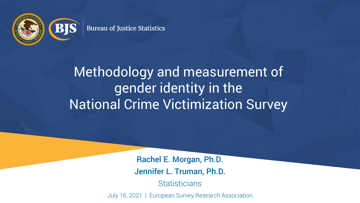

#### Methodology and measurement of gender identity in the National Crime Victimization Survey

Rachel E. Morgan, Ph.D. Jennifer L. Truman, Ph.D.

**Statisticians** 

July 16, 2021 | European Survey Research Association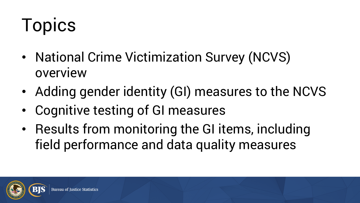# Topics

- National Crime Victimization Survey (NCVS) overview
- Adding gender identity (GI) measures to the NCVS
- Cognitive testing of GI measures
- Results from monitoring the GI items, including field performance and data quality measures

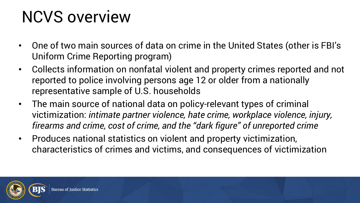#### NCVS overview

- One of two main sources of data on crime in the United States (other is FBI's Uniform Crime Reporting program)
- Collects information on nonfatal violent and property crimes reported and not reported to police involving persons age 12 or older from a nationally representative sample of U.S. households
- The main source of national data on policy-relevant types of criminal victimization: *intimate partner violence, hate crime, workplace violence, injury, firearms and crime, cost of crime, and the "dark figure" of unreported crime*
- Produces national statistics on violent and property victimization, characteristics of crimes and victims, and consequences of victimization

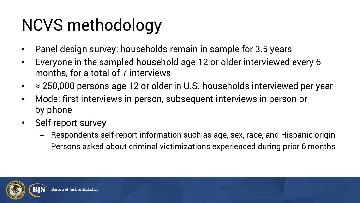# NCVS methodology

- Panel design survey: households remain in sample for 3.5 years
- Everyone in the sampled household age 12 or older interviewed every 6 months, for a total of 7 interviews
- $\approx$  250,000 persons age 12 or older in U.S. households interviewed per year
- Mode: first interviews in person, subsequent interviews in person or by phone
- Self-report survey
	- Respondents self-report information such as age, sex, race, and Hispanic origin
	- Persons asked about criminal victimizations experienced during prior 6 months

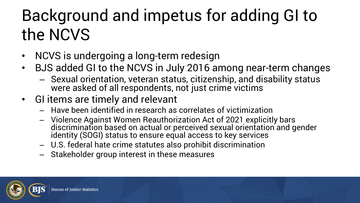#### Background and impetus for adding GI to the NCVS

- NCVS is undergoing a long-term redesign
- BJS added GI to the NCVS in July 2016 among near-term changes
	- Sexual orientation, veteran status, citizenship, and disability status were asked of all respondents, not just crime victims
- GI items are timely and relevant
	- Have been identified in research as correlates of victimization
	- Violence Against Women Reauthorization Act of 2021 explicitly bars discrimination based on actual or perceived sexual orientation and gender identity (SOGI) status to ensure equal access to key services
	- U.S. federal hate crime statutes also prohibit discrimination
	- Stakeholder group interest in these measures

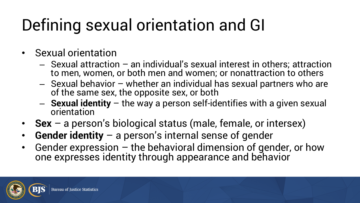#### Defining sexual orientation and GI

- Sexual orientation
	- Sexual attraction an individual's sexual interest in others; attraction to men, women, or both men and women; or nonattraction to others
	- Sexual behavior whether an individual has sexual partners who are of the same sex, the opposite sex, or both
	- **Sexual identity** the way a person self-identifies with a given sexual orientation
- **Sex** a person's biological status (male, female, or intersex)
- **Gender identity**  a person's internal sense of gender
- Gender expression the behavioral dimension of gender, or how one expresses identity through appearance and behavior

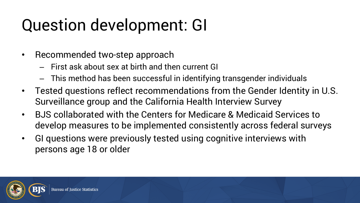#### Question development: GI

- Recommended two-step approach
	- First ask about sex at birth and then current GI
	- This method has been successful in identifying transgender individuals
- Tested questions reflect recommendations from the Gender Identity in U.S. Surveillance group and the California Health Interview Survey
- BJS collaborated with the Centers for Medicare & Medicaid Services to develop measures to be implemented consistently across federal surveys
- GI questions were previously tested using cognitive interviews with persons age 18 or older

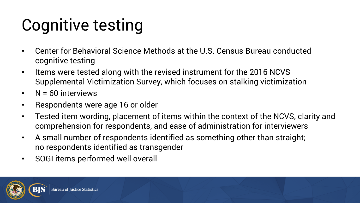# Cognitive testing

- Center for Behavioral Science Methods at the U.S. Census Bureau conducted cognitive testing
- Items were tested along with the revised instrument for the 2016 NCVS Supplemental Victimization Survey, which focuses on stalking victimization
- N = 60 interviews
- Respondents were age 16 or older
- Tested item wording, placement of items within the context of the NCVS, clarity and comprehension for respondents, and ease of administration for interviewers
- A small number of respondents identified as something other than straight; no respondents identified as transgender
- SOGI items performed well overall

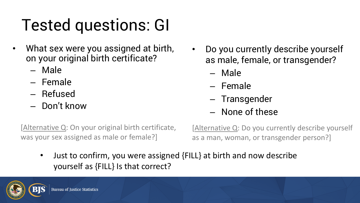# Tested questions: GI

- What sex were you assigned at birth, on your original birth certificate?
	- Male
	- Female
	- Refused
	- Don't know
- Do you currently describe yourself as male, female, or transgender?
	- Male
	- Female
	- Transgender
	- None of these

[Alternative Q: On your original birth certificate, was your sex assigned as male or female?]

[Alternative Q: Do you currently describe yourself as a man, woman, or transgender person?]

• Just to confirm, you were assigned {FILL} at birth and now describe yourself as {FILL} Is that correct?

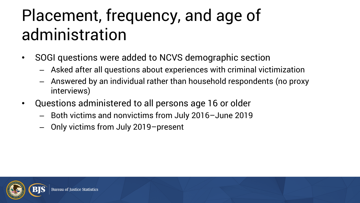#### Placement, frequency, and age of administration

- SOGI questions were added to NCVS demographic section
	- Asked after all questions about experiences with criminal victimization
	- Answered by an individual rather than household respondents (no proxy interviews)
- Questions administered to all persons age 16 or older
	- Both victims and nonvictims from July 2016–June 2019
	- Only victims from July 2019–present

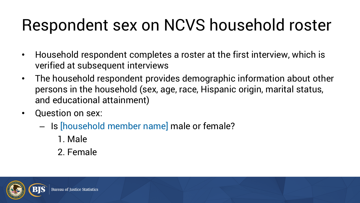#### Respondent sex on NCVS household roster

- Household respondent completes a roster at the first interview, which is verified at subsequent interviews
- The household respondent provides demographic information about other persons in the household (sex, age, race, Hispanic origin, marital status, and educational attainment)
- **Question on sex:** 
	- Is [household member name] male or female?
		- 1. Male
		- 2. Female

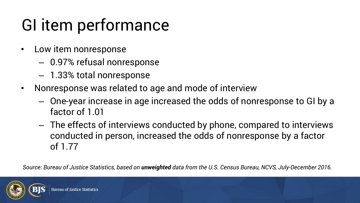#### GI item performance

- Low item nonresponse
	- 0.97% refusal nonresponse
	- 1.33% total nonresponse
- Nonresponse was related to age and mode of interview
	- One-year increase in age increased the odds of nonresponse to GI by a factor of 1.01
	- The effects of interviews conducted by phone, compared to interviews conducted in person, increased the odds of nonresponse by a factor of 1.77

*Source: Bureau of Justice Statistics, based on unweighted data from the U.S. Census Bureau, NCVS, July-December 2016.*

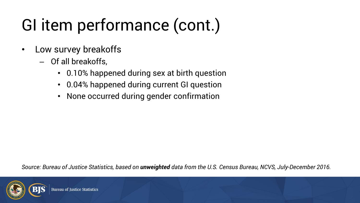# GI item performance (cont.)

- Low survey breakoffs
	- Of all breakoffs,
		- 0.10% happened during sex at birth question
		- 0.04% happened during current GI question
		- None occurred during gender confirmation

*Source: Bureau of Justice Statistics, based on unweighted data from the U.S. Census Bureau, NCVS, July-December 2016.*

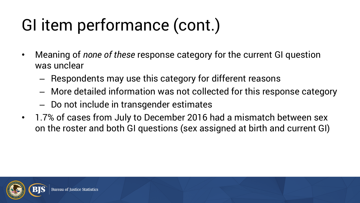# GI item performance (cont.)

- Meaning of *none of these* response category for the current GI question was unclear
	- Respondents may use this category for different reasons
	- More detailed information was not collected for this response category
	- Do not include in transgender estimates
- 1.7% of cases from July to December 2016 had a mismatch between sex on the roster and both GI questions (sex assigned at birth and current GI)

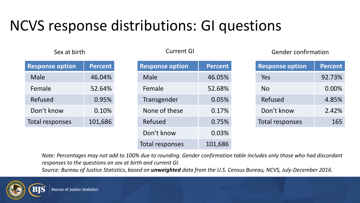#### NCVS response distributions: GI questions

| <b>Response option</b> | <b>Percent</b> |  |
|------------------------|----------------|--|
| Male                   | 46.04%         |  |
| Female                 | 52.64%         |  |
| Refused                | 0.95%          |  |
| Don't know             | 0.10%          |  |
| Total responses        | 101,686        |  |

| <b>Response option</b> | <b>Percent</b> |
|------------------------|----------------|
| Male                   | 46.05%         |
| Female                 | 52.68%         |
| Transgender            | 0.05%          |
| None of these          | 0.17%          |
| Refused                | 0.75%          |
| Don't know             | 0.03%          |
| Total responses        | 101,686        |

#### Sex at birth Current GI Gender confirmation

| <b>Response option</b> | <b>Percent</b> |
|------------------------|----------------|
| Yes                    | 92.73%         |
| No                     | 0.00%          |
| Refused                | 4.85%          |
| Don't know             | 2.42%          |
| Total responses        | 165            |

*Note: Percentages may not add to 100% due to rounding. Gender confirmation table includes only those who had discordant responses to the questions on sex at birth and current GI.* 

*Source: Bureau of Justice Statistics, based on unweighted data from the U.S. Census Bureau, NCVS, July-December 2016.*

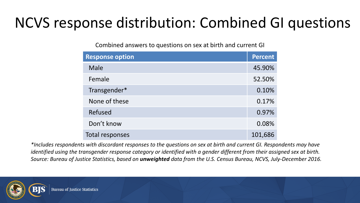#### NCVS response distribution: Combined GI questions

Combined answers to questions on sex at birth and current GI

| <b>Response option</b> | <b>Percent</b> |
|------------------------|----------------|
| Male                   | 45.90%         |
| Female                 | 52.50%         |
| Transgender*           | 0.10%          |
| None of these          | 0.17%          |
| Refused                | 0.97%          |
| Don't know             | 0.08%          |
| Total responses        | 101,686        |

*\*Includes respondents with discordant responses to the questions on sex at birth and current GI. Respondents may have identified using the transgender response category or identified with a gender different from their assigned sex at birth. Source: Bureau of Justice Statistics, based on unweighted data from the U.S. Census Bureau, NCVS, July-December 2016.*

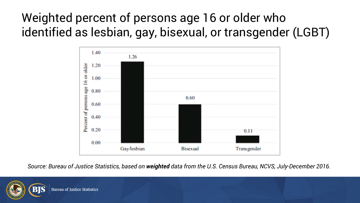#### Weighted percent of persons age 16 or older who identified as lesbian, gay, bisexual, or transgender (LGBT)



*Source: Bureau of Justice Statistics, based on weighted data from the U.S. Census Bureau, NCVS, July-December 2016.*

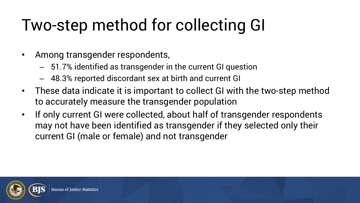# Two-step method for collecting GI

- Among transgender respondents,
	- 51.7% identified as transgender in the current GI question
	- 48.3% reported discordant sex at birth and current GI
- These data indicate it is important to collect GI with the two-step method to accurately measure the transgender population
- If only current GI were collected, about half of transgender respondents may not have been identified as transgender if they selected only their current GI (male or female) and not transgender

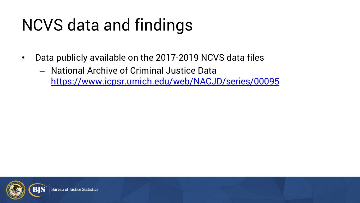# NCVS data and findings

- Data publicly available on the 2017-2019 NCVS data files
	- National Archive of Criminal Justice Data <https://www.icpsr.umich.edu/web/NACJD/series/00095>

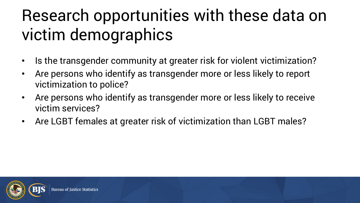#### Research opportunities with these data on victim demographics

- Is the transgender community at greater risk for violent victimization?
- Are persons who identify as transgender more or less likely to report victimization to police?
- Are persons who identify as transgender more or less likely to receive victim services?
- Are LGBT females at greater risk of victimization than LGBT males?